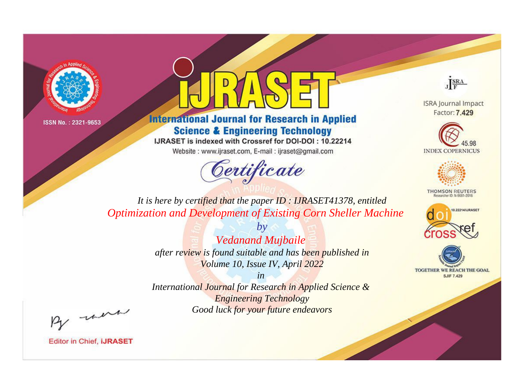



**International Journal for Research in Applied Science & Engineering Technology** 

IJRASET is indexed with Crossref for DOI-DOI: 10.22214

Website: www.ijraset.com, E-mail: ijraset@gmail.com



JERA

**ISRA Journal Impact** Factor: 7.429





**THOMSON REUTERS** 



TOGETHER WE REACH THE GOAL **SJIF 7.429** 

*It is here by certified that the paper ID : IJRASET41378, entitled Optimization and Development of Existing Corn Sheller Machine*

> *Vedanand Mujbaile after review is found suitable and has been published in Volume 10, Issue IV, April 2022*

*by*

*in International Journal for Research in Applied Science & Engineering Technology Good luck for your future endeavors*

By morn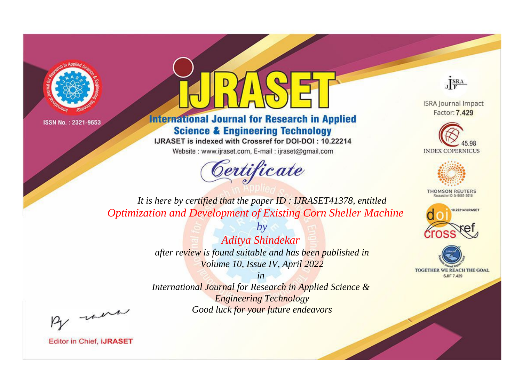



**International Journal for Research in Applied Science & Engineering Technology** 

IJRASET is indexed with Crossref for DOI-DOI: 10.22214

Website: www.ijraset.com, E-mail: ijraset@gmail.com



JERA

**ISRA Journal Impact** Factor: 7.429





**THOMSON REUTERS** 



TOGETHER WE REACH THE GOAL **SJIF 7.429** 

*It is here by certified that the paper ID : IJRASET41378, entitled Optimization and Development of Existing Corn Sheller Machine*

> *by Aditya Shindekar after review is found suitable and has been published in Volume 10, Issue IV, April 2022*

> > *in*

*International Journal for Research in Applied Science & Engineering Technology Good luck for your future endeavors*

By morn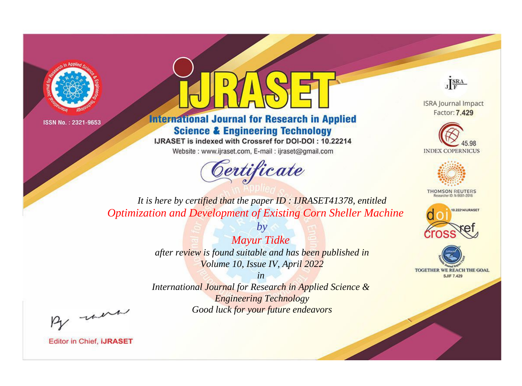



**International Journal for Research in Applied Science & Engineering Technology** 

IJRASET is indexed with Crossref for DOI-DOI: 10.22214

Website: www.ijraset.com, E-mail: ijraset@gmail.com





**ISRA Journal Impact** Factor: 7.429





**THOMSON REUTERS** 



TOGETHER WE REACH THE GOAL **SJIF 7.429** 

*It is here by certified that the paper ID : IJRASET41378, entitled Optimization and Development of Existing Corn Sheller Machine*

> *Mayur Tidke after review is found suitable and has been published in Volume 10, Issue IV, April 2022*

*by*

*in* 

*International Journal for Research in Applied Science & Engineering Technology Good luck for your future endeavors*

By morn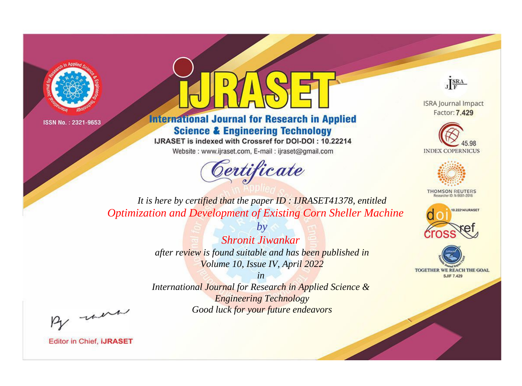



**International Journal for Research in Applied Science & Engineering Technology** 

IJRASET is indexed with Crossref for DOI-DOI: 10.22214

Website: www.ijraset.com, E-mail: ijraset@gmail.com



JERA

**ISRA Journal Impact** Factor: 7.429





**THOMSON REUTERS** 



TOGETHER WE REACH THE GOAL **SJIF 7.429** 

*It is here by certified that the paper ID : IJRASET41378, entitled Optimization and Development of Existing Corn Sheller Machine*

> *Shronit Jiwankar after review is found suitable and has been published in Volume 10, Issue IV, April 2022*

*by*

*in* 

*International Journal for Research in Applied Science & Engineering Technology Good luck for your future endeavors*

By morn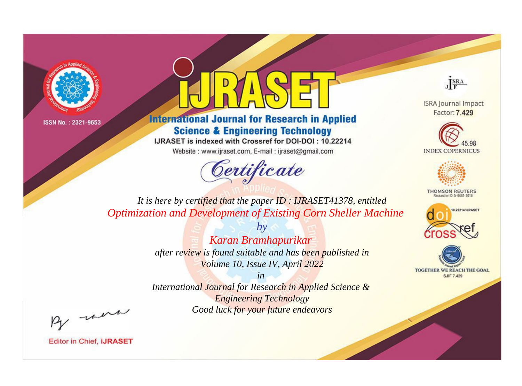



**International Journal for Research in Applied Science & Engineering Technology** 

IJRASET is indexed with Crossref for DOI-DOI: 10.22214

Website: www.ijraset.com, E-mail: ijraset@gmail.com



JERA

**ISRA Journal Impact** Factor: 7.429





**THOMSON REUTERS** 



TOGETHER WE REACH THE GOAL **SJIF 7.429** 

*It is here by certified that the paper ID : IJRASET41378, entitled Optimization and Development of Existing Corn Sheller Machine*

> *by Karan Bramhapurikar after review is found suitable and has been published in Volume 10, Issue IV, April 2022*

*in International Journal for Research in Applied Science &* 

> *Engineering Technology Good luck for your future endeavors*

By morn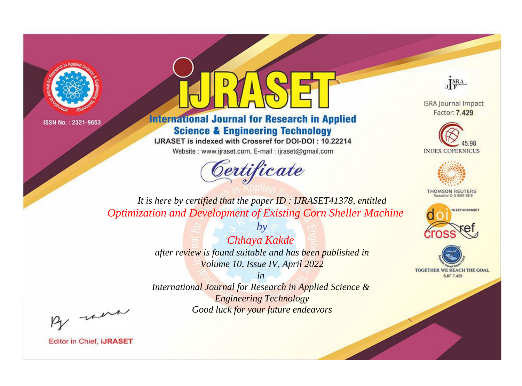



**International Journal for Research in Applied Science & Engineering Technology** 

IJRASET is indexed with Crossref for DOI-DOI: 10.22214

Website: www.ijraset.com, E-mail: ijraset@gmail.com



JERA

**ISRA Journal Impact** Factor: 7.429





**THOMSON REUTERS** 



TOGETHER WE REACH THE GOAL **SJIF 7.429** 

*It is here by certified that the paper ID : IJRASET41378, entitled Optimization and Development of Existing Corn Sheller Machine*

> *Chhaya Kakde after review is found suitable and has been published in Volume 10, Issue IV, April 2022*

*by*

*in* 

*International Journal for Research in Applied Science & Engineering Technology Good luck for your future endeavors*

By morn